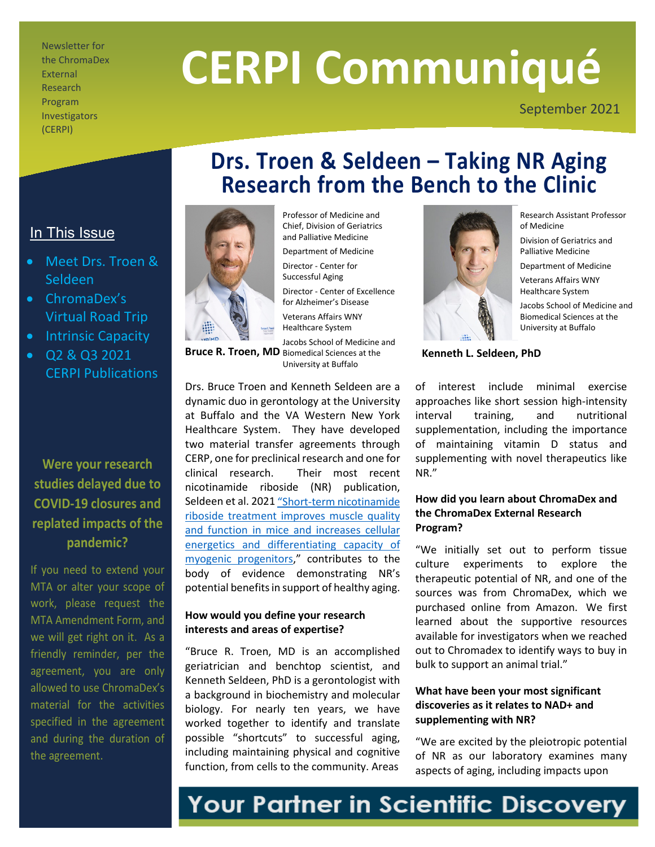Newsletter for the ChromaDex External Research Program Investigators (CERPI)

# **CERPI Communiqué**

**Drs. Troen & Seldeen – Taking NR Aging Research from the Bench to the Clinic**

September 2021



Professor of Medicine and Chief, Division of Geriatrics and Palliative Medicine Department of Medicine Director - Center for Successful Aging Director - Center of Excellence for Alzheimer's Disease Veterans Affairs WNY Healthcare System Jacobs School of Medicine and

Bruce R. Troen, MD Biomedical Sciences at the University at Buffalo

Drs. Bruce Troen and Kenneth Seldeen are a dynamic duo in gerontology at the University at Buffalo and the VA Western New York Healthcare System. They have developed two material transfer agreements through CERP, one for preclinical research and one for clinical research. Their most recent nicotinamide riboside (NR) publication, Seldeen et al. 202[1 "Short-term nicotinamide](https://www.sciencedirect.com/science/article/abs/pii/S0899900721000514)  [riboside treatment improves muscle quality](https://www.sciencedirect.com/science/article/abs/pii/S0899900721000514)  [and function in mice and increases cellular](https://www.sciencedirect.com/science/article/abs/pii/S0899900721000514)  [energetics and differentiating capacity of](https://www.sciencedirect.com/science/article/abs/pii/S0899900721000514)  [myogenic progenitors,](https://www.sciencedirect.com/science/article/abs/pii/S0899900721000514)" contributes to the body of evidence demonstrating NR's potential benefits in support of healthy aging.

#### **How would you define your research interests and areas of expertise?**

"Bruce R. Troen, MD is an accomplished geriatrician and benchtop scientist, and Kenneth Seldeen, PhD is a gerontologist with a background in biochemistry and molecular biology. For nearly ten years, we have worked together to identify and translate possible "shortcuts" to successful aging, including maintaining physical and cognitive function, from cells to the community. Areas



Research Assistant Professor of Medicine

Division of Geriatrics and Palliative Medicine

Department of Medicine Veterans Affairs WNY Healthcare System

Jacobs School of Medicine and Biomedical Sciences at the University at Buffalo

**Kenneth L. Seldeen, PhD**

of interest include minimal exercise approaches like short session high-intensity interval training, and nutritional supplementation, including the importance of maintaining vitamin D status and supplementing with novel therapeutics like NR."

#### **How did you learn about ChromaDex and the ChromaDex External Research Program?**

"We initially set out to perform tissue culture experiments to explore the therapeutic potential of NR, and one of the sources was from ChromaDex, which we purchased online from Amazon. We first learned about the supportive resources available for investigators when we reached out to Chromadex to identify ways to buy in bulk to support an animal trial."

#### **What have been your most significant discoveries as it relates to NAD+ and supplementing with NR?**

"We are excited by the pleiotropic potential of NR as our laboratory examines many aspects of aging, including impacts upon

### In This Issue

- Meet Drs. Troen & Seldeen
- ChromaDex's Virtual Road Trip
- Intrinsic Capacity
- Q2 & Q3 2021 CERPI Publications

**Were your research studies delayed due to COVID-19 closures and replated impacts of the pandemic?**

If you need to extend your MTA or alter your scope of work, please request the MTA Amendment Form, and we will get right on it. As a friendly reminder, per the agreement, you are only allowed to use ChromaDex's material for the activities specified in the agreement and during the duration of the agreement.

# Your Partner in Scientific Discovery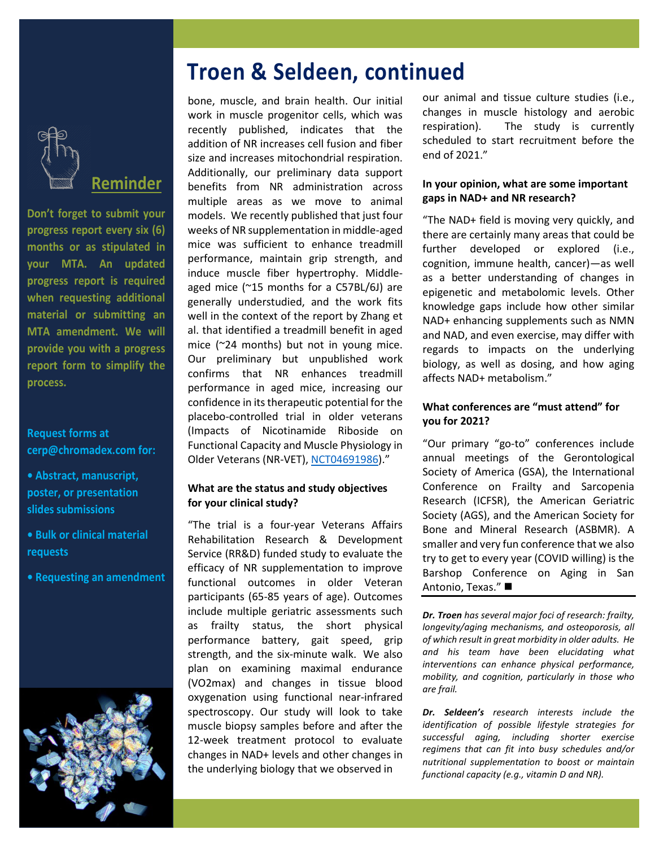

**Reminder** 

**Don't forget to submit your progress report every six (6) months or as stipulated in your MTA. An updated progress report is required when requesting additional material or submitting an MTA amendment. We will provide you with a progress report form to simplify the process.**

#### **Request forms at cerp@chromadex.com for:**

- **Abstract, manuscript, poster, or presentation slides submissions**
- **Bulk or clinical material requests**
- **Requesting an amendment**



# **Troen & Seldeen, continued**

bone, muscle, and brain health. Our initial work in muscle progenitor cells, which was recently published, indicates that the addition of NR increases cell fusion and fiber size and increases mitochondrial respiration. Additionally, our preliminary data support benefits from NR administration across multiple areas as we move to animal models. We recently published that just four weeks of NR supplementation in middle-aged mice was sufficient to enhance treadmill performance, maintain grip strength, and induce muscle fiber hypertrophy. Middleaged mice (~15 months for a C57BL/6J) are generally understudied, and the work fits well in the context of the report by Zhang et al. that identified a treadmill benefit in aged mice (~24 months) but not in young mice. Our preliminary but unpublished work confirms that NR enhances treadmill performance in aged mice, increasing our confidence in its therapeutic potential for the placebo-controlled trial in older veterans (Impacts of Nicotinamide Riboside on Functional Capacity and Muscle Physiology in Older Veterans (NR-VET), [NCT04691986\)](https://clinicaltrials.gov/ct2/show/NCT04691986)."

#### **What are the status and study objectives for your clinical study?**

"The trial is a four-year Veterans Affairs Rehabilitation Research & Development Service (RR&D) funded study to evaluate the efficacy of NR supplementation to improve functional outcomes in older Veteran participants (65-85 years of age). Outcomes include multiple geriatric assessments such as frailty status, the short physical performance battery, gait speed, grip strength, and the six-minute walk. We also plan on examining maximal endurance (VO2max) and changes in tissue blood oxygenation using functional near-infrared spectroscopy. Our study will look to take muscle biopsy samples before and after the 12-week treatment protocol to evaluate changes in NAD+ levels and other changes in the underlying biology that we observed in

our animal and tissue culture studies (i.e., changes in muscle histology and aerobic respiration). The study is currently scheduled to start recruitment before the end of 2021."

#### **In your opinion, what are some important gaps in NAD+ and NR research?**

"The NAD+ field is moving very quickly, and there are certainly many areas that could be further developed or explored (i.e., cognition, immune health, cancer)—as well as a better understanding of changes in epigenetic and metabolomic levels. Other knowledge gaps include how other similar NAD+ enhancing supplements such as NMN and NAD, and even exercise, may differ with regards to impacts on the underlying biology, as well as dosing, and how aging affects NAD+ metabolism."

#### **What conferences are "must attend" for you for 2021?**

"Our primary "go-to" conferences include annual meetings of the Gerontological Society of America (GSA), the International Conference on Frailty and Sarcopenia Research (ICFSR), the American Geriatric Society (AGS), and the American Society for Bone and Mineral Research (ASBMR). A smaller and very fun conference that we also try to get to every year (COVID willing) is the Barshop Conference on Aging in San Antonio, Texas."

*Dr. Troen has several major foci of research: frailty, longevity/aging mechanisms, and osteoporosis, all of which result in great morbidity in older adults. He and his team have been elucidating what interventions can enhance physical performance, mobility, and cognition, particularly in those who are frail.* 

*Dr. Seldeen's research interests include the identification of possible lifestyle strategies for successful aging, including shorter exercise regimens that can fit into busy schedules and/or nutritional supplementation to boost or maintain functional capacity (e.g., vitamin D and NR).*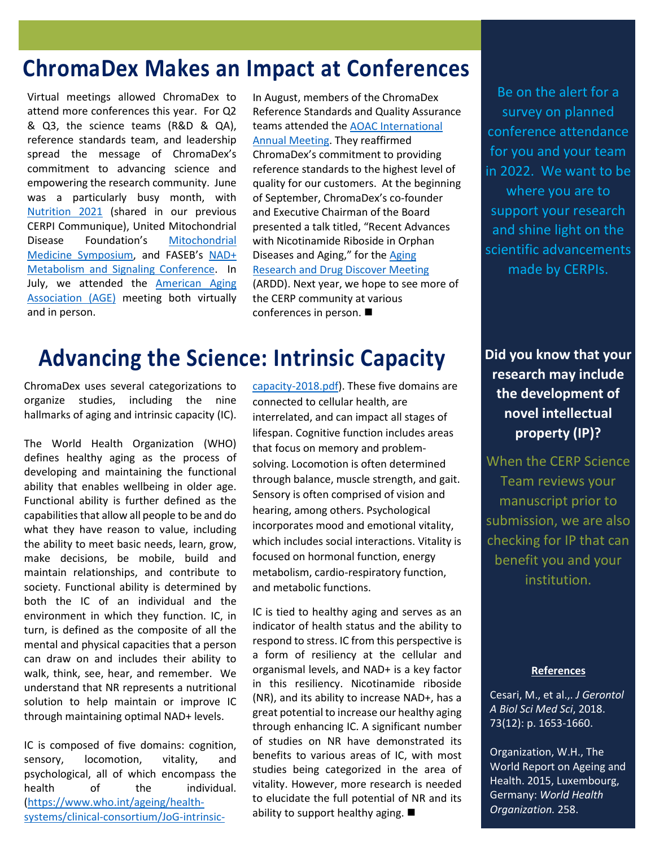# **ChromaDex Makes an Impact at Conferences**

Virtual meetings allowed ChromaDex to attend more conferences this year. For Q2 & Q3, the science teams (R&D & QA), reference standards team, and leadership spread the message of ChromaDex's commitment to advancing science and empowering the research community. June was a particularly busy month, with [Nutrition 2021](https://meeting.nutrition.org/) (shared in our previous CERPI Communique), United Mitochondrial Disease Foundation's [Mitochondrial](https://www.umdf.org/symposium/)  [Medicine Symposium,](https://www.umdf.org/symposium/) and FASEB's [NAD+](https://ww2.eventrebels.com/er/EventHomePage/CustomPage.jsp?ActivityID=34893&ItemID=116804)  [Metabolism and Signaling Conference.](https://ww2.eventrebels.com/er/EventHomePage/CustomPage.jsp?ActivityID=34893&ItemID=116804) In July, we attended the [American Aging](https://www.americanagingassociation.org/previous-meetings)  [Association \(AGE\)](https://www.americanagingassociation.org/previous-meetings) meeting both virtually and in person.

In August, members of the ChromaDex Reference Standards and Quality Assurance teams attended the AOAC [International](https://www.aoac.org/2021-annual-meeting-exposition/2021-schedule/)  [Annual Meeting.](https://www.aoac.org/2021-annual-meeting-exposition/2021-schedule/) They reaffirmed ChromaDex's commitment to providing reference standards to the highest level of quality for our customers. At the beginning of September, ChromaDex's co-founder and Executive Chairman of the Board presented a talk titled, "Recent Advances with Nicotinamide Riboside in Orphan Diseases and Aging," for the [Aging](http://agingpharma.org/)  [Research and Drug Discover Meeting](http://agingpharma.org/) (ARDD). Next year, we hope to see more of the CERP community at various conferences in person.

# **Advancing the Science: Intrinsic Capacity**

ChromaDex uses several categorizations to organize studies, including the nine hallmarks of aging and intrinsic capacity (IC).

The World Health Organization (WHO) defines healthy aging as the process of developing and maintaining the functional ability that enables wellbeing in older age. Functional ability is further defined as the capabilities that allow all people to be and do what they have reason to value, including the ability to meet basic needs, learn, grow, make decisions, be mobile, build and maintain relationships, and contribute to society. Functional ability is determined by both the IC of an individual and the environment in which they function. IC, in turn, is defined as the composite of all the mental and physical capacities that a person can draw on and includes their ability to walk, think, see, hear, and remember. We understand that NR represents a nutritional solution to help maintain or improve IC through maintaining optimal NAD+ levels.

IC is composed of five domains: cognition, sensory, locomotion, vitality, and psychological, all of which encompass the health of the individual. [\(https://www.who.int/ageing/health](https://www.who.int/ageing/health-systems/clinical-consortium/JoG-intrinsic-capacity-2018.pdf)[systems/clinical-consortium/JoG-intrinsic-](https://www.who.int/ageing/health-systems/clinical-consortium/JoG-intrinsic-capacity-2018.pdf)

[capacity-2018.pdf\)](https://www.who.int/ageing/health-systems/clinical-consortium/JoG-intrinsic-capacity-2018.pdf). These five domains are connected to cellular health, are interrelated, and can impact all stages of lifespan. Cognitive function includes areas that focus on memory and problemsolving. Locomotion is often determined through balance, muscle strength, and gait. Sensory is often comprised of vision and hearing, among others. Psychological incorporates mood and emotional vitality, which includes social interactions. Vitality is focused on hormonal function, energy metabolism, cardio-respiratory function, and metabolic functions.

IC is tied to healthy aging and serves as an indicator of health status and the ability to respond to stress. IC from this perspective is a form of resiliency at the cellular and organismal levels, and NAD+ is a key factor in this resiliency. Nicotinamide riboside (NR), and its ability to increase NAD+, has a great potential to increase our healthy aging through enhancing IC. A significant number of studies on NR have demonstrated its benefits to various areas of IC, with most studies being categorized in the area of vitality. However, more research is needed to elucidate the full potential of NR and its ability to support healthy aging.  $\blacksquare$ 

Be on the alert for a survey on planned conference attendance for you and your team in 2022. We want to be where you are to support your research and shine light on the scientific advancements made by CERPIs.

**Did you know that your research may include the development of novel intellectual property (IP)?**

When the CERP Science Team reviews your manuscript prior to submission, we are also checking for IP that can benefit you and your institution.

#### **References**

Cesari, M., et al.,. *J Gerontol A Biol Sci Med Sci*, 2018. 73(12): p. 1653-1660.

Organization, W.H., The World Report on Ageing and Health. 2015, Luxembourg, Germany: *World Health Organization.* 258.